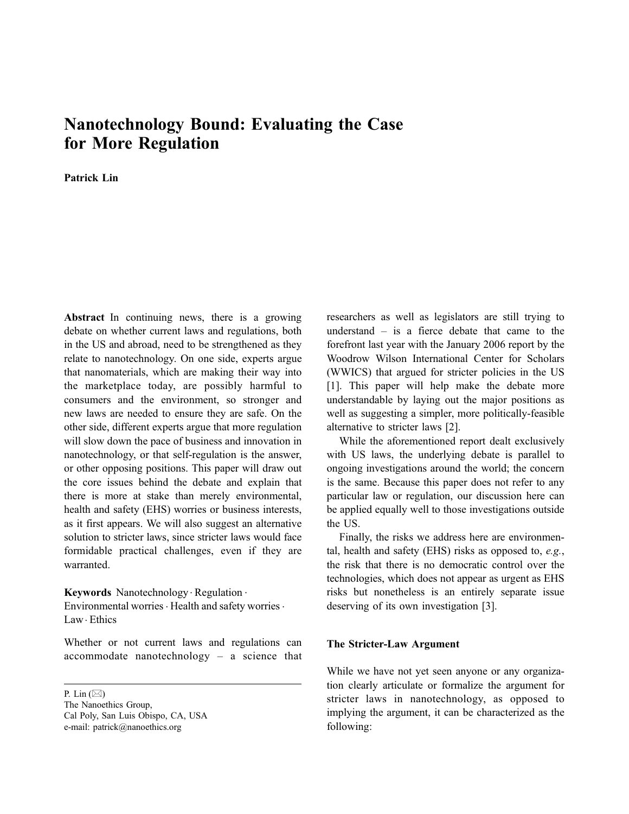# Nanotechnology Bound: Evaluating the Case for More Regulation

## Patrick Lin

Abstract In continuing news, there is a growing debate on whether current laws and regulations, both in the US and abroad, need to be strengthened as they relate to nanotechnology. On one side, experts argue that nanomaterials, which are making their way into the marketplace today, are possibly harmful to consumers and the environment, so stronger and new laws are needed to ensure they are safe. On the other side, different experts argue that more regulation will slow down the pace of business and innovation in nanotechnology, or that self-regulation is the answer, or other opposing positions. This paper will draw out the core issues behind the debate and explain that there is more at stake than merely environmental, health and safety (EHS) worries or business interests, as it first appears. We will also suggest an alternative solution to stricter laws, since stricter laws would face formidable practical challenges, even if they are warranted.

Keywords Nanotechnology · Regulation · Environmental worries · Health and safety worries · Law. Ethics

Whether or not current laws and regulations can accommodate nanotechnology – a science that

P. Lin  $(\boxtimes)$ 

The Nanoethics Group, Cal Poly, San Luis Obispo, CA, USA e-mail: patrick@nanoethics.org

researchers as well as legislators are still trying to understand – is a fierce debate that came to the forefront last year with the January 2006 report by the Woodrow Wilson International Center for Scholars (WWICS) that argued for stricter policies in the US [1]. This paper will help make the debate more understandable by laying out the major positions as well as suggesting a simpler, more politically-feasible alternative to stricter laws [2].

While the aforementioned report dealt exclusively with US laws, the underlying debate is parallel to ongoing investigations around the world; the concern is the same. Because this paper does not refer to any particular law or regulation, our discussion here can be applied equally well to those investigations outside the US.

Finally, the risks we address here are environmental, health and safety (EHS) risks as opposed to, e.g., the risk that there is no democratic control over the technologies, which does not appear as urgent as EHS risks but nonetheless is an entirely separate issue deserving of its own investigation [3].

## The Stricter-Law Argument

While we have not yet seen anyone or any organization clearly articulate or formalize the argument for stricter laws in nanotechnology, as opposed to implying the argument, it can be characterized as the following: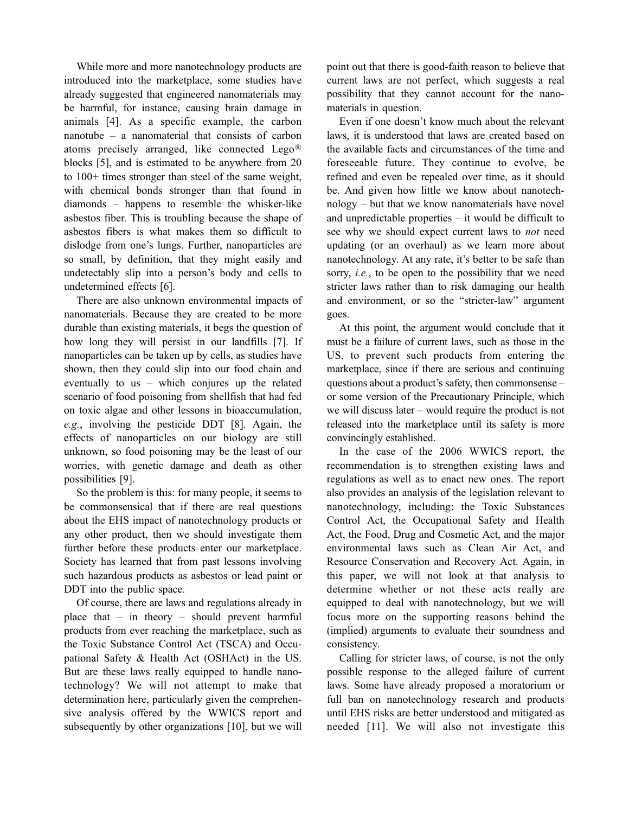While more and more nanotechnology products are introduced into the marketplace, some studies have already suggested that engineered nanomaterials may be harmful, for instance, causing brain damage in animals [4]. As a specific example, the carbon nanotube – a nanomaterial that consists of carbon atoms precisely arranged, like connected Lego® blocks [5], and is estimated to be anywhere from 20 to 100+ times stronger than steel of the same weight, with chemical bonds stronger than that found in diamonds – happens to resemble the whisker-like asbestos fiber. This is troubling because the shape of asbestos fibers is what makes them so difficult to dislodge from one's lungs. Further, nanoparticles are so small, by definition, that they might easily and undetectably slip into a person's body and cells to undetermined effects [6].

There are also unknown environmental impacts of nanomaterials. Because they are created to be more durable than existing materials, it begs the question of how long they will persist in our landfills [7]. If nanoparticles can be taken up by cells, as studies have shown, then they could slip into our food chain and eventually to us – which conjures up the related scenario of food poisoning from shellfish that had fed on toxic algae and other lessons in bioaccumulation, e.g., involving the pesticide DDT [8]. Again, the effects of nanoparticles on our biology are still unknown, so food poisoning may be the least of our worries, with genetic damage and death as other possibilities [9].

So the problem is this: for many people, it seems to be commonsensical that if there are real questions about the EHS impact of nanotechnology products or any other product, then we should investigate them further before these products enter our marketplace. Society has learned that from past lessons involving such hazardous products as asbestos or lead paint or DDT into the public space.

Of course, there are laws and regulations already in place that – in theory – should prevent harmful products from ever reaching the marketplace, such as the Toxic Substance Control Act (TSCA) and Occupational Safety & Health Act (OSHAct) in the US. But are these laws really equipped to handle nanotechnology? We will not attempt to make that determination here, particularly given the comprehensive analysis offered by the WWICS report and subsequently by other organizations [10], but we will point out that there is good-faith reason to believe that current laws are not perfect, which suggests a real possibility that they cannot account for the nanomaterials in question.

Even if one doesn't know much about the relevant laws, it is understood that laws are created based on the available facts and circumstances of the time and foreseeable future. They continue to evolve, be refined and even be repealed over time, as it should be. And given how little we know about nanotechnology – but that we know nanomaterials have novel and unpredictable properties – it would be difficult to see why we should expect current laws to not need updating (or an overhaul) as we learn more about nanotechnology. At any rate, it's better to be safe than sorry, *i.e.*, to be open to the possibility that we need stricter laws rather than to risk damaging our health and environment, or so the "stricter-law" argument goes.

At this point, the argument would conclude that it must be a failure of current laws, such as those in the US, to prevent such products from entering the marketplace, since if there are serious and continuing questions about a product's safety, then commonsense – or some version of the Precautionary Principle, which we will discuss later – would require the product is not released into the marketplace until its safety is more convincingly established.

In the case of the 2006 WWICS report, the recommendation is to strengthen existing laws and regulations as well as to enact new ones. The report also provides an analysis of the legislation relevant to nanotechnology, including: the Toxic Substances Control Act, the Occupational Safety and Health Act, the Food, Drug and Cosmetic Act, and the major environmental laws such as Clean Air Act, and Resource Conservation and Recovery Act. Again, in this paper, we will not look at that analysis to determine whether or not these acts really are equipped to deal with nanotechnology, but we will focus more on the supporting reasons behind the (implied) arguments to evaluate their soundness and consistency.

Calling for stricter laws, of course, is not the only possible response to the alleged failure of current laws. Some have already proposed a moratorium or full ban on nanotechnology research and products until EHS risks are better understood and mitigated as needed [11]. We will also not investigate this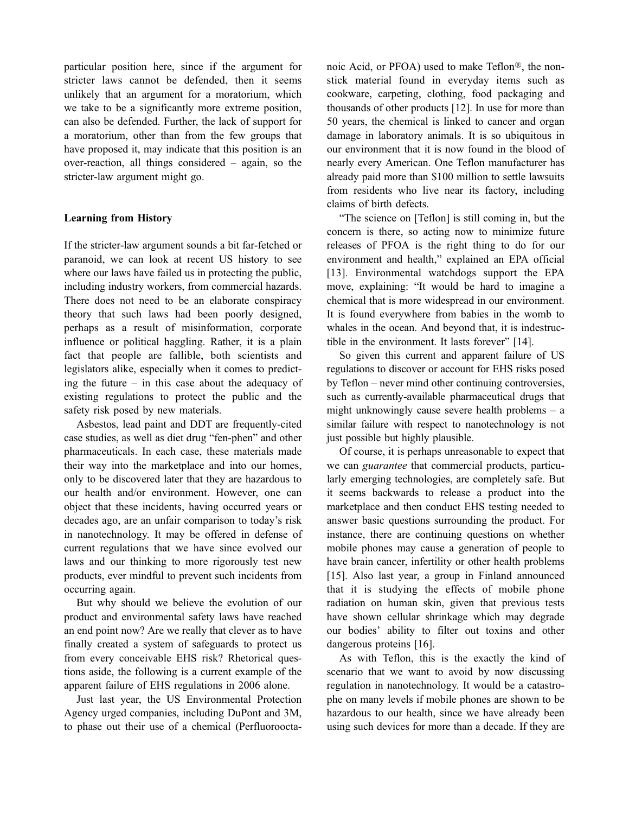particular position here, since if the argument for stricter laws cannot be defended, then it seems unlikely that an argument for a moratorium, which we take to be a significantly more extreme position, can also be defended. Further, the lack of support for a moratorium, other than from the few groups that have proposed it, may indicate that this position is an over-reaction, all things considered – again, so the stricter-law argument might go.

## Learning from History

If the stricter-law argument sounds a bit far-fetched or paranoid, we can look at recent US history to see where our laws have failed us in protecting the public, including industry workers, from commercial hazards. There does not need to be an elaborate conspiracy theory that such laws had been poorly designed, perhaps as a result of misinformation, corporate influence or political haggling. Rather, it is a plain fact that people are fallible, both scientists and legislators alike, especially when it comes to predicting the future – in this case about the adequacy of existing regulations to protect the public and the safety risk posed by new materials.

Asbestos, lead paint and DDT are frequently-cited case studies, as well as diet drug "fen-phen" and other pharmaceuticals. In each case, these materials made their way into the marketplace and into our homes, only to be discovered later that they are hazardous to our health and/or environment. However, one can object that these incidents, having occurred years or decades ago, are an unfair comparison to today's risk in nanotechnology. It may be offered in defense of current regulations that we have since evolved our laws and our thinking to more rigorously test new products, ever mindful to prevent such incidents from occurring again.

But why should we believe the evolution of our product and environmental safety laws have reached an end point now? Are we really that clever as to have finally created a system of safeguards to protect us from every conceivable EHS risk? Rhetorical questions aside, the following is a current example of the apparent failure of EHS regulations in 2006 alone.

Just last year, the US Environmental Protection Agency urged companies, including DuPont and 3M, to phase out their use of a chemical (Perfluorooctanoic Acid, or PFOA) used to make Teflon®, the nonstick material found in everyday items such as cookware, carpeting, clothing, food packaging and thousands of other products [12]. In use for more than 50 years, the chemical is linked to cancer and organ damage in laboratory animals. It is so ubiquitous in our environment that it is now found in the blood of nearly every American. One Teflon manufacturer has already paid more than \$100 million to settle lawsuits from residents who live near its factory, including claims of birth defects.

"The science on [Teflon] is still coming in, but the concern is there, so acting now to minimize future releases of PFOA is the right thing to do for our environment and health," explained an EPA official [13]. Environmental watchdogs support the EPA move, explaining: "It would be hard to imagine a chemical that is more widespread in our environment. It is found everywhere from babies in the womb to whales in the ocean. And beyond that, it is indestructible in the environment. It lasts forever" [14].

So given this current and apparent failure of US regulations to discover or account for EHS risks posed by Teflon – never mind other continuing controversies, such as currently-available pharmaceutical drugs that might unknowingly cause severe health problems – a similar failure with respect to nanotechnology is not just possible but highly plausible.

Of course, it is perhaps unreasonable to expect that we can guarantee that commercial products, particularly emerging technologies, are completely safe. But it seems backwards to release a product into the marketplace and then conduct EHS testing needed to answer basic questions surrounding the product. For instance, there are continuing questions on whether mobile phones may cause a generation of people to have brain cancer, infertility or other health problems [15]. Also last year, a group in Finland announced that it is studying the effects of mobile phone radiation on human skin, given that previous tests have shown cellular shrinkage which may degrade our bodies' ability to filter out toxins and other dangerous proteins [16].

As with Teflon, this is the exactly the kind of scenario that we want to avoid by now discussing regulation in nanotechnology. It would be a catastrophe on many levels if mobile phones are shown to be hazardous to our health, since we have already been using such devices for more than a decade. If they are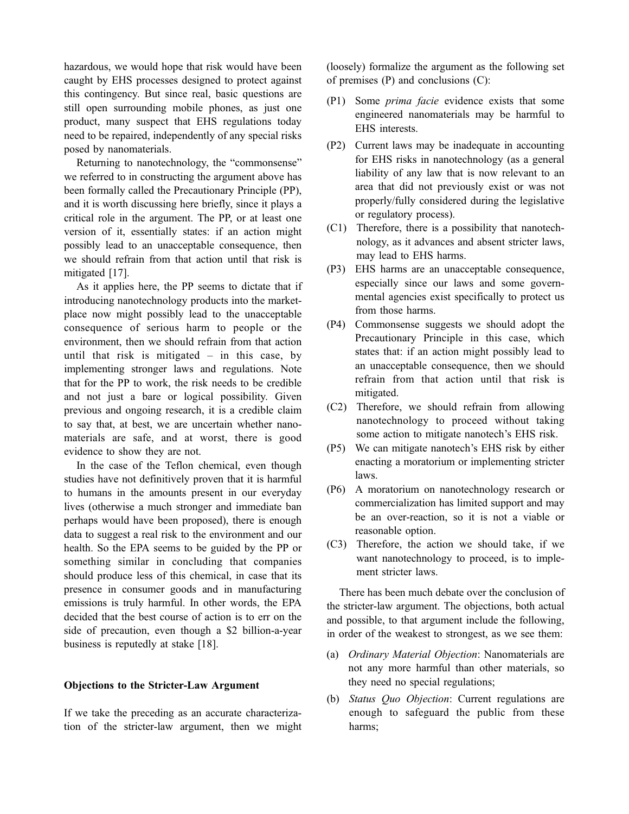hazardous, we would hope that risk would have been caught by EHS processes designed to protect against this contingency. But since real, basic questions are still open surrounding mobile phones, as just one product, many suspect that EHS regulations today need to be repaired, independently of any special risks posed by nanomaterials.

Returning to nanotechnology, the "commonsense" we referred to in constructing the argument above has been formally called the Precautionary Principle (PP), and it is worth discussing here briefly, since it plays a critical role in the argument. The PP, or at least one version of it, essentially states: if an action might possibly lead to an unacceptable consequence, then we should refrain from that action until that risk is mitigated [17].

As it applies here, the PP seems to dictate that if introducing nanotechnology products into the marketplace now might possibly lead to the unacceptable consequence of serious harm to people or the environment, then we should refrain from that action until that risk is mitigated  $-$  in this case, by implementing stronger laws and regulations. Note that for the PP to work, the risk needs to be credible and not just a bare or logical possibility. Given previous and ongoing research, it is a credible claim to say that, at best, we are uncertain whether nanomaterials are safe, and at worst, there is good evidence to show they are not.

In the case of the Teflon chemical, even though studies have not definitively proven that it is harmful to humans in the amounts present in our everyday lives (otherwise a much stronger and immediate ban perhaps would have been proposed), there is enough data to suggest a real risk to the environment and our health. So the EPA seems to be guided by the PP or something similar in concluding that companies should produce less of this chemical, in case that its presence in consumer goods and in manufacturing emissions is truly harmful. In other words, the EPA decided that the best course of action is to err on the side of precaution, even though a \$2 billion-a-year business is reputedly at stake [18].

### Objections to the Stricter-Law Argument

If we take the preceding as an accurate characterization of the stricter-law argument, then we might (loosely) formalize the argument as the following set of premises (P) and conclusions (C):

- (P1) Some *prima facie* evidence exists that some engineered nanomaterials may be harmful to EHS interests.
- (P2) Current laws may be inadequate in accounting for EHS risks in nanotechnology (as a general liability of any law that is now relevant to an area that did not previously exist or was not properly/fully considered during the legislative or regulatory process).
- $(C1)$  Therefore, there is a possibility that nanotechnology, as it advances and absent stricter laws, may lead to EHS harms.
- (P3) EHS harms are an unacceptable consequence, especially since our laws and some governmental agencies exist specifically to protect us from those harms.
- (P4) Commonsense suggests we should adopt the Precautionary Principle in this case, which states that: if an action might possibly lead to an unacceptable consequence, then we should refrain from that action until that risk is mitigated.
- (C2) Therefore, we should refrain from allowing nanotechnology to proceed without taking some action to mitigate nanotech's EHS risk.
- (P5) We can mitigate nanotech's EHS risk by either enacting a moratorium or implementing stricter laws.
- (P6) A moratorium on nanotechnology research or commercialization has limited support and may be an over-reaction, so it is not a viable or reasonable option.
- (C3) Therefore, the action we should take, if we want nanotechnology to proceed, is to implement stricter laws.

There has been much debate over the conclusion of the stricter-law argument. The objections, both actual and possible, to that argument include the following, in order of the weakest to strongest, as we see them:

- (a) Ordinary Material Objection: Nanomaterials are not any more harmful than other materials, so they need no special regulations;
- (b) Status Quo Objection: Current regulations are enough to safeguard the public from these harms;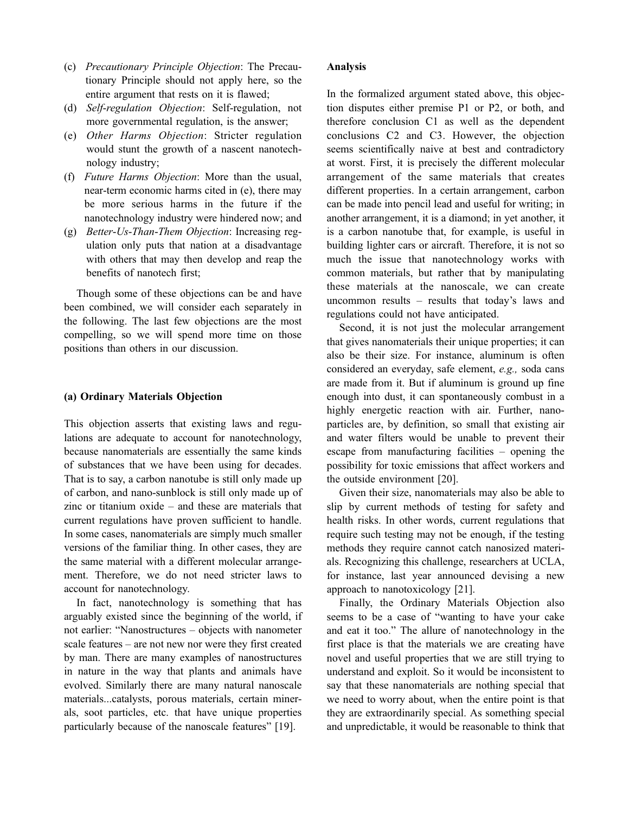- (c) Precautionary Principle Objection: The Precautionary Principle should not apply here, so the entire argument that rests on it is flawed;
- (d) Self-regulation Objection: Self-regulation, not more governmental regulation, is the answer;
- (e) Other Harms Objection: Stricter regulation would stunt the growth of a nascent nanotechnology industry;
- (f) Future Harms Objection: More than the usual, near-term economic harms cited in (e), there may be more serious harms in the future if the nanotechnology industry were hindered now; and
- (g) *Better-Us-Than-Them Objection: Increasing reg*ulation only puts that nation at a disadvantage with others that may then develop and reap the benefits of nanotech first;

Though some of these objections can be and have been combined, we will consider each separately in the following. The last few objections are the most compelling, so we will spend more time on those positions than others in our discussion.

## (a) Ordinary Materials Objection

This objection asserts that existing laws and regulations are adequate to account for nanotechnology, because nanomaterials are essentially the same kinds of substances that we have been using for decades. That is to say, a carbon nanotube is still only made up of carbon, and nano-sunblock is still only made up of zinc or titanium oxide – and these are materials that current regulations have proven sufficient to handle. In some cases, nanomaterials are simply much smaller versions of the familiar thing. In other cases, they are the same material with a different molecular arrangement. Therefore, we do not need stricter laws to account for nanotechnology.

In fact, nanotechnology is something that has arguably existed since the beginning of the world, if not earlier: "Nanostructures – objects with nanometer scale features – are not new nor were they first created by man. There are many examples of nanostructures in nature in the way that plants and animals have evolved. Similarly there are many natural nanoscale materials...catalysts, porous materials, certain minerals, soot particles, etc. that have unique properties particularly because of the nanoscale features" [19].

## Analysis

In the formalized argument stated above, this objection disputes either premise P1 or P2, or both, and therefore conclusion C1 as well as the dependent conclusions C2 and C3. However, the objection seems scientifically naive at best and contradictory at worst. First, it is precisely the different molecular arrangement of the same materials that creates different properties. In a certain arrangement, carbon can be made into pencil lead and useful for writing; in another arrangement, it is a diamond; in yet another, it is a carbon nanotube that, for example, is useful in building lighter cars or aircraft. Therefore, it is not so much the issue that nanotechnology works with common materials, but rather that by manipulating these materials at the nanoscale, we can create uncommon results – results that today's laws and regulations could not have anticipated.

Second, it is not just the molecular arrangement that gives nanomaterials their unique properties; it can also be their size. For instance, aluminum is often considered an everyday, safe element, e.g., soda cans are made from it. But if aluminum is ground up fine enough into dust, it can spontaneously combust in a highly energetic reaction with air. Further, nanoparticles are, by definition, so small that existing air and water filters would be unable to prevent their escape from manufacturing facilities – opening the possibility for toxic emissions that affect workers and the outside environment [20].

Given their size, nanomaterials may also be able to slip by current methods of testing for safety and health risks. In other words, current regulations that require such testing may not be enough, if the testing methods they require cannot catch nanosized materials. Recognizing this challenge, researchers at UCLA, for instance, last year announced devising a new approach to nanotoxicology [21].

Finally, the Ordinary Materials Objection also seems to be a case of "wanting to have your cake and eat it too." The allure of nanotechnology in the first place is that the materials we are creating have novel and useful properties that we are still trying to understand and exploit. So it would be inconsistent to say that these nanomaterials are nothing special that we need to worry about, when the entire point is that they are extraordinarily special. As something special and unpredictable, it would be reasonable to think that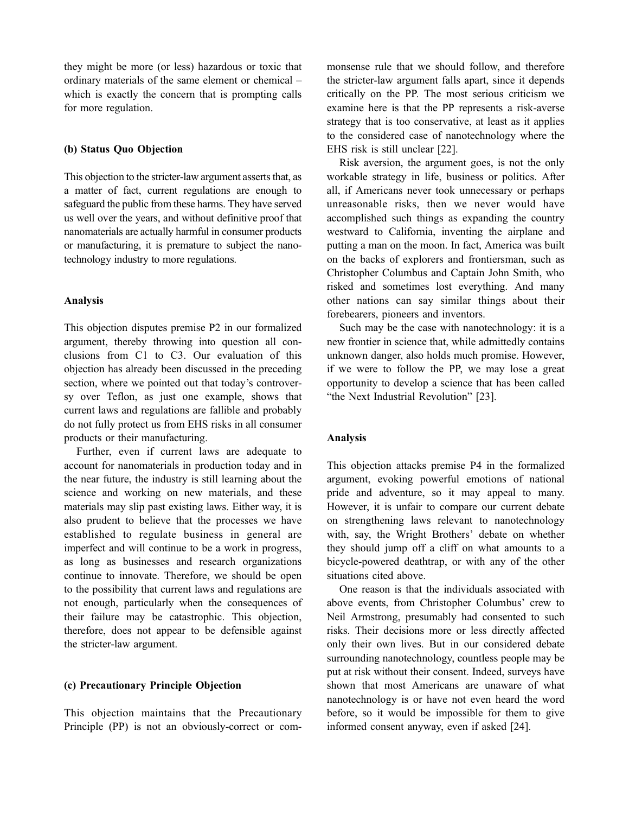they might be more (or less) hazardous or toxic that ordinary materials of the same element or chemical – which is exactly the concern that is prompting calls for more regulation.

### (b) Status Quo Objection

This objection to the stricter-law argument asserts that, as a matter of fact, current regulations are enough to safeguard the public from these harms. They have served us well over the years, and without definitive proof that nanomaterials are actually harmful in consumer products or manufacturing, it is premature to subject the nanotechnology industry to more regulations.

#### Analysis

This objection disputes premise P2 in our formalized argument, thereby throwing into question all conclusions from C1 to C3. Our evaluation of this objection has already been discussed in the preceding section, where we pointed out that today's controversy over Teflon, as just one example, shows that current laws and regulations are fallible and probably do not fully protect us from EHS risks in all consumer products or their manufacturing.

Further, even if current laws are adequate to account for nanomaterials in production today and in the near future, the industry is still learning about the science and working on new materials, and these materials may slip past existing laws. Either way, it is also prudent to believe that the processes we have established to regulate business in general are imperfect and will continue to be a work in progress, as long as businesses and research organizations continue to innovate. Therefore, we should be open to the possibility that current laws and regulations are not enough, particularly when the consequences of their failure may be catastrophic. This objection, therefore, does not appear to be defensible against the stricter-law argument.

## (c) Precautionary Principle Objection

This objection maintains that the Precautionary Principle (PP) is not an obviously-correct or commonsense rule that we should follow, and therefore the stricter-law argument falls apart, since it depends critically on the PP. The most serious criticism we examine here is that the PP represents a risk-averse strategy that is too conservative, at least as it applies to the considered case of nanotechnology where the EHS risk is still unclear [22].

Risk aversion, the argument goes, is not the only workable strategy in life, business or politics. After all, if Americans never took unnecessary or perhaps unreasonable risks, then we never would have accomplished such things as expanding the country westward to California, inventing the airplane and putting a man on the moon. In fact, America was built on the backs of explorers and frontiersman, such as Christopher Columbus and Captain John Smith, who risked and sometimes lost everything. And many other nations can say similar things about their forebearers, pioneers and inventors.

Such may be the case with nanotechnology: it is a new frontier in science that, while admittedly contains unknown danger, also holds much promise. However, if we were to follow the PP, we may lose a great opportunity to develop a science that has been called "the Next Industrial Revolution" [23].

#### Analysis

This objection attacks premise P4 in the formalized argument, evoking powerful emotions of national pride and adventure, so it may appeal to many. However, it is unfair to compare our current debate on strengthening laws relevant to nanotechnology with, say, the Wright Brothers' debate on whether they should jump off a cliff on what amounts to a bicycle-powered deathtrap, or with any of the other situations cited above.

One reason is that the individuals associated with above events, from Christopher Columbus' crew to Neil Armstrong, presumably had consented to such risks. Their decisions more or less directly affected only their own lives. But in our considered debate surrounding nanotechnology, countless people may be put at risk without their consent. Indeed, surveys have shown that most Americans are unaware of what nanotechnology is or have not even heard the word before, so it would be impossible for them to give informed consent anyway, even if asked [24].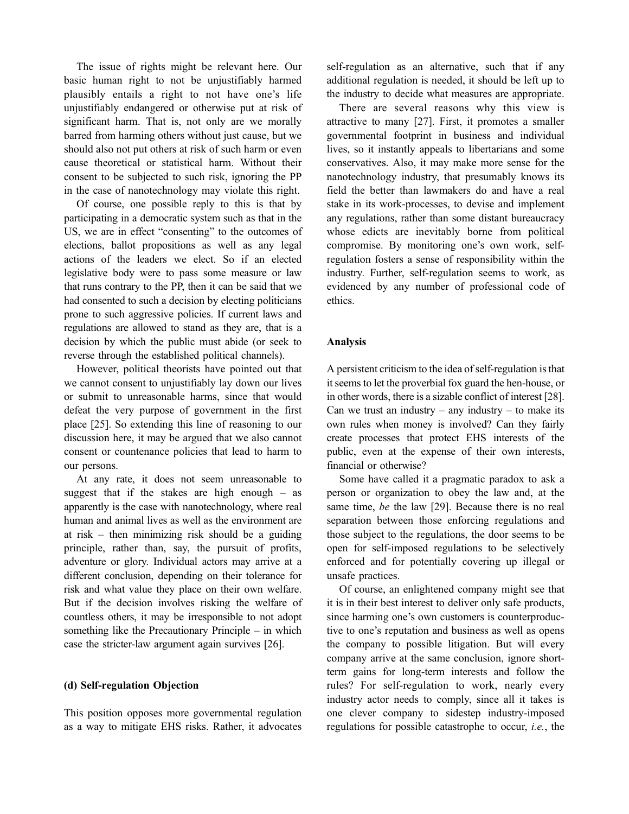The issue of rights might be relevant here. Our basic human right to not be unjustifiably harmed plausibly entails a right to not have one's life unjustifiably endangered or otherwise put at risk of significant harm. That is, not only are we morally barred from harming others without just cause, but we should also not put others at risk of such harm or even cause theoretical or statistical harm. Without their consent to be subjected to such risk, ignoring the PP in the case of nanotechnology may violate this right.

Of course, one possible reply to this is that by participating in a democratic system such as that in the US, we are in effect "consenting" to the outcomes of elections, ballot propositions as well as any legal actions of the leaders we elect. So if an elected legislative body were to pass some measure or law that runs contrary to the PP, then it can be said that we had consented to such a decision by electing politicians prone to such aggressive policies. If current laws and regulations are allowed to stand as they are, that is a decision by which the public must abide (or seek to reverse through the established political channels).

However, political theorists have pointed out that we cannot consent to unjustifiably lay down our lives or submit to unreasonable harms, since that would defeat the very purpose of government in the first place [25]. So extending this line of reasoning to our discussion here, it may be argued that we also cannot consent or countenance policies that lead to harm to our persons.

At any rate, it does not seem unreasonable to suggest that if the stakes are high enough  $-$  as apparently is the case with nanotechnology, where real human and animal lives as well as the environment are at risk – then minimizing risk should be a guiding principle, rather than, say, the pursuit of profits, adventure or glory. Individual actors may arrive at a different conclusion, depending on their tolerance for risk and what value they place on their own welfare. But if the decision involves risking the welfare of countless others, it may be irresponsible to not adopt something like the Precautionary Principle – in which case the stricter-law argument again survives [26].

### (d) Self-regulation Objection

This position opposes more governmental regulation as a way to mitigate EHS risks. Rather, it advocates self-regulation as an alternative, such that if any additional regulation is needed, it should be left up to the industry to decide what measures are appropriate.

There are several reasons why this view is attractive to many [27]. First, it promotes a smaller governmental footprint in business and individual lives, so it instantly appeals to libertarians and some conservatives. Also, it may make more sense for the nanotechnology industry, that presumably knows its field the better than lawmakers do and have a real stake in its work-processes, to devise and implement any regulations, rather than some distant bureaucracy whose edicts are inevitably borne from political compromise. By monitoring one's own work, selfregulation fosters a sense of responsibility within the industry. Further, self-regulation seems to work, as evidenced by any number of professional code of ethics.

#### Analysis

A persistent criticism to the idea of self-regulation is that it seems to let the proverbial fox guard the hen-house, or in other words, there is a sizable conflict of interest [28]. Can we trust an industry – any industry – to make its own rules when money is involved? Can they fairly create processes that protect EHS interests of the public, even at the expense of their own interests, financial or otherwise?

Some have called it a pragmatic paradox to ask a person or organization to obey the law and, at the same time, be the law [29]. Because there is no real separation between those enforcing regulations and those subject to the regulations, the door seems to be open for self-imposed regulations to be selectively enforced and for potentially covering up illegal or unsafe practices.

Of course, an enlightened company might see that it is in their best interest to deliver only safe products, since harming one's own customers is counterproductive to one's reputation and business as well as opens the company to possible litigation. But will every company arrive at the same conclusion, ignore shortterm gains for long-term interests and follow the rules? For self-regulation to work, nearly every industry actor needs to comply, since all it takes is one clever company to sidestep industry-imposed regulations for possible catastrophe to occur, i.e., the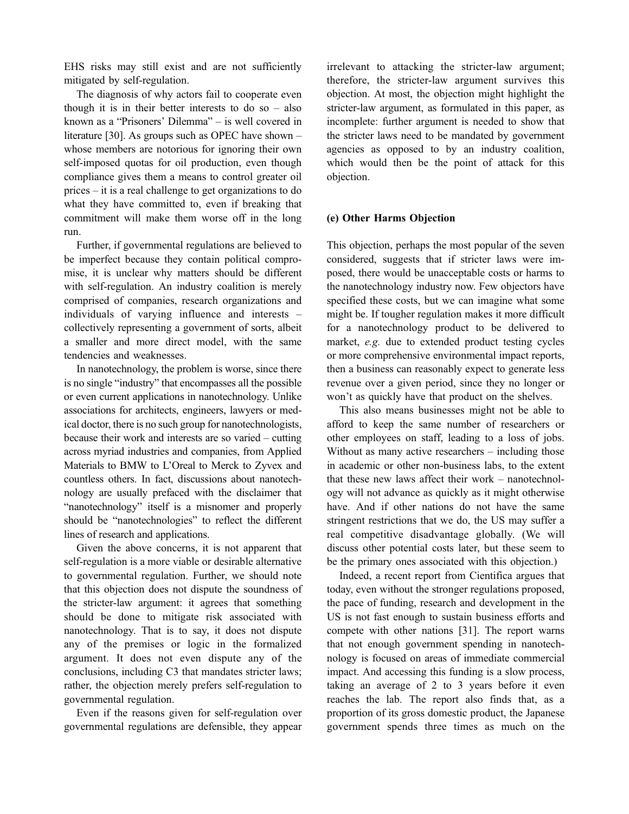EHS risks may still exist and are not sufficiently mitigated by self-regulation.

The diagnosis of why actors fail to cooperate even though it is in their better interests to do so  $-$  also known as a "Prisoners' Dilemma" – is well covered in literature [30]. As groups such as OPEC have shown – whose members are notorious for ignoring their own self-imposed quotas for oil production, even though compliance gives them a means to control greater oil prices – it is a real challenge to get organizations to do what they have committed to, even if breaking that commitment will make them worse off in the long run.

Further, if governmental regulations are believed to be imperfect because they contain political compromise, it is unclear why matters should be different with self-regulation. An industry coalition is merely comprised of companies, research organizations and individuals of varying influence and interests – collectively representing a government of sorts, albeit a smaller and more direct model, with the same tendencies and weaknesses.

In nanotechnology, the problem is worse, since there is no single "industry" that encompasses all the possible or even current applications in nanotechnology. Unlike associations for architects, engineers, lawyers or medical doctor, there is no such group for nanotechnologists, because their work and interests are so varied – cutting across myriad industries and companies, from Applied Materials to BMW to L'Oreal to Merck to Zyvex and countless others. In fact, discussions about nanotechnology are usually prefaced with the disclaimer that "nanotechnology" itself is a misnomer and properly should be "nanotechnologies" to reflect the different lines of research and applications.

Given the above concerns, it is not apparent that self-regulation is a more viable or desirable alternative to governmental regulation. Further, we should note that this objection does not dispute the soundness of the stricter-law argument: it agrees that something should be done to mitigate risk associated with nanotechnology. That is to say, it does not dispute any of the premises or logic in the formalized argument. It does not even dispute any of the conclusions, including C3 that mandates stricter laws; rather, the objection merely prefers self-regulation to governmental regulation.

Even if the reasons given for self-regulation over governmental regulations are defensible, they appear

irrelevant to attacking the stricter-law argument; therefore, the stricter-law argument survives this objection. At most, the objection might highlight the stricter-law argument, as formulated in this paper, as incomplete: further argument is needed to show that the stricter laws need to be mandated by government agencies as opposed to by an industry coalition, which would then be the point of attack for this objection.

## (e) Other Harms Objection

This objection, perhaps the most popular of the seven considered, suggests that if stricter laws were imposed, there would be unacceptable costs or harms to the nanotechnology industry now. Few objectors have specified these costs, but we can imagine what some might be. If tougher regulation makes it more difficult for a nanotechnology product to be delivered to market, e.g. due to extended product testing cycles or more comprehensive environmental impact reports, then a business can reasonably expect to generate less revenue over a given period, since they no longer or won't as quickly have that product on the shelves.

This also means businesses might not be able to afford to keep the same number of researchers or other employees on staff, leading to a loss of jobs. Without as many active researchers – including those in academic or other non-business labs, to the extent that these new laws affect their work – nanotechnology will not advance as quickly as it might otherwise have. And if other nations do not have the same stringent restrictions that we do, the US may suffer a real competitive disadvantage globally. (We will discuss other potential costs later, but these seem to be the primary ones associated with this objection.)

Indeed, a recent report from Cientifica argues that today, even without the stronger regulations proposed, the pace of funding, research and development in the US is not fast enough to sustain business efforts and compete with other nations [31]. The report warns that not enough government spending in nanotechnology is focused on areas of immediate commercial impact. And accessing this funding is a slow process, taking an average of 2 to 3 years before it even reaches the lab. The report also finds that, as a proportion of its gross domestic product, the Japanese government spends three times as much on the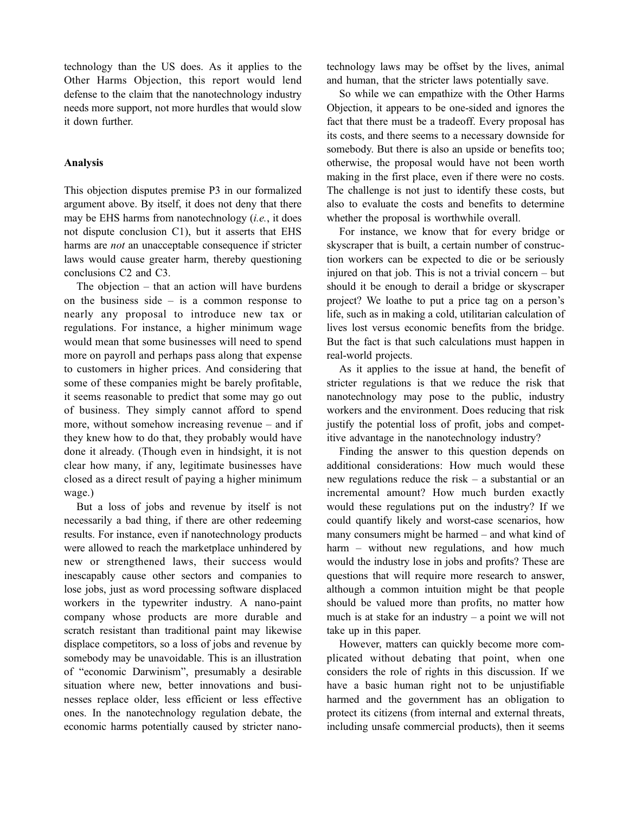technology than the US does. As it applies to the Other Harms Objection, this report would lend defense to the claim that the nanotechnology industry needs more support, not more hurdles that would slow it down further.

# Analysis

This objection disputes premise P3 in our formalized argument above. By itself, it does not deny that there may be EHS harms from nanotechnology  $(i.e., it does$ not dispute conclusion C1), but it asserts that EHS harms are *not* an unacceptable consequence if stricter laws would cause greater harm, thereby questioning conclusions C2 and C3.

The objection – that an action will have burdens on the business side  $-$  is a common response to nearly any proposal to introduce new tax or regulations. For instance, a higher minimum wage would mean that some businesses will need to spend more on payroll and perhaps pass along that expense to customers in higher prices. And considering that some of these companies might be barely profitable, it seems reasonable to predict that some may go out of business. They simply cannot afford to spend more, without somehow increasing revenue – and if they knew how to do that, they probably would have done it already. (Though even in hindsight, it is not clear how many, if any, legitimate businesses have closed as a direct result of paying a higher minimum wage.)

But a loss of jobs and revenue by itself is not necessarily a bad thing, if there are other redeeming results. For instance, even if nanotechnology products were allowed to reach the marketplace unhindered by new or strengthened laws, their success would inescapably cause other sectors and companies to lose jobs, just as word processing software displaced workers in the typewriter industry. A nano-paint company whose products are more durable and scratch resistant than traditional paint may likewise displace competitors, so a loss of jobs and revenue by somebody may be unavoidable. This is an illustration of "economic Darwinism", presumably a desirable situation where new, better innovations and businesses replace older, less efficient or less effective ones. In the nanotechnology regulation debate, the economic harms potentially caused by stricter nanotechnology laws may be offset by the lives, animal and human, that the stricter laws potentially save.

So while we can empathize with the Other Harms Objection, it appears to be one-sided and ignores the fact that there must be a tradeoff. Every proposal has its costs, and there seems to a necessary downside for somebody. But there is also an upside or benefits too; otherwise, the proposal would have not been worth making in the first place, even if there were no costs. The challenge is not just to identify these costs, but also to evaluate the costs and benefits to determine whether the proposal is worthwhile overall.

For instance, we know that for every bridge or skyscraper that is built, a certain number of construction workers can be expected to die or be seriously injured on that job. This is not a trivial concern – but should it be enough to derail a bridge or skyscraper project? We loathe to put a price tag on a person's life, such as in making a cold, utilitarian calculation of lives lost versus economic benefits from the bridge. But the fact is that such calculations must happen in real-world projects.

As it applies to the issue at hand, the benefit of stricter regulations is that we reduce the risk that nanotechnology may pose to the public, industry workers and the environment. Does reducing that risk justify the potential loss of profit, jobs and competitive advantage in the nanotechnology industry?

Finding the answer to this question depends on additional considerations: How much would these new regulations reduce the risk – a substantial or an incremental amount? How much burden exactly would these regulations put on the industry? If we could quantify likely and worst-case scenarios, how many consumers might be harmed – and what kind of harm – without new regulations, and how much would the industry lose in jobs and profits? These are questions that will require more research to answer, although a common intuition might be that people should be valued more than profits, no matter how much is at stake for an industry  $-$  a point we will not take up in this paper.

However, matters can quickly become more complicated without debating that point, when one considers the role of rights in this discussion. If we have a basic human right not to be unjustifiable harmed and the government has an obligation to protect its citizens (from internal and external threats, including unsafe commercial products), then it seems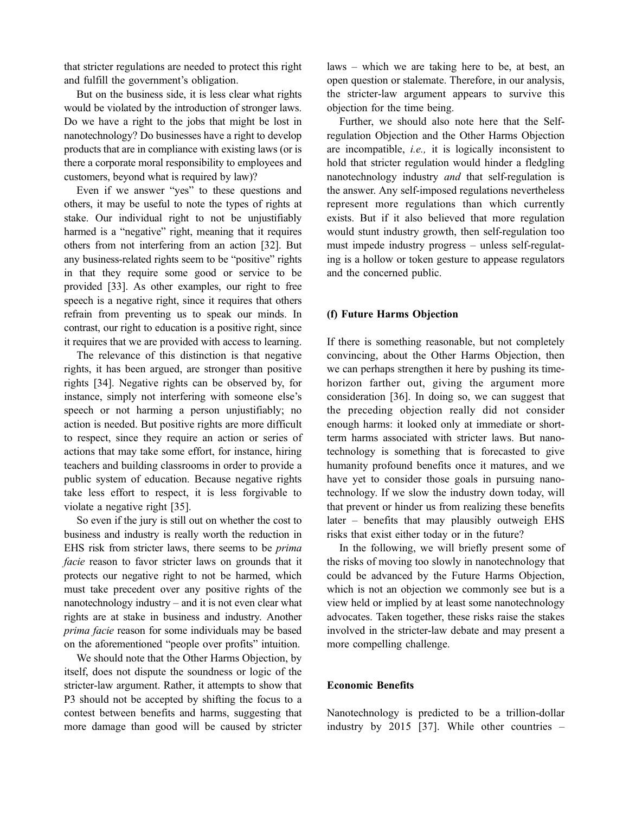that stricter regulations are needed to protect this right and fulfill the government's obligation.

But on the business side, it is less clear what rights would be violated by the introduction of stronger laws. Do we have a right to the jobs that might be lost in nanotechnology? Do businesses have a right to develop products that are in compliance with existing laws (or is there a corporate moral responsibility to employees and customers, beyond what is required by law)?

Even if we answer "yes" to these questions and others, it may be useful to note the types of rights at stake. Our individual right to not be unjustifiably harmed is a "negative" right, meaning that it requires others from not interfering from an action [32]. But any business-related rights seem to be "positive" rights in that they require some good or service to be provided [33]. As other examples, our right to free speech is a negative right, since it requires that others refrain from preventing us to speak our minds. In contrast, our right to education is a positive right, since it requires that we are provided with access to learning.

The relevance of this distinction is that negative rights, it has been argued, are stronger than positive rights [34]. Negative rights can be observed by, for instance, simply not interfering with someone else's speech or not harming a person unjustifiably; no action is needed. But positive rights are more difficult to respect, since they require an action or series of actions that may take some effort, for instance, hiring teachers and building classrooms in order to provide a public system of education. Because negative rights take less effort to respect, it is less forgivable to violate a negative right [35].

So even if the jury is still out on whether the cost to business and industry is really worth the reduction in EHS risk from stricter laws, there seems to be prima facie reason to favor stricter laws on grounds that it protects our negative right to not be harmed, which must take precedent over any positive rights of the nanotechnology industry – and it is not even clear what rights are at stake in business and industry. Another prima facie reason for some individuals may be based on the aforementioned "people over profits" intuition.

We should note that the Other Harms Objection, by itself, does not dispute the soundness or logic of the stricter-law argument. Rather, it attempts to show that P3 should not be accepted by shifting the focus to a contest between benefits and harms, suggesting that more damage than good will be caused by stricter laws – which we are taking here to be, at best, an open question or stalemate. Therefore, in our analysis, the stricter-law argument appears to survive this objection for the time being.

Further, we should also note here that the Selfregulation Objection and the Other Harms Objection are incompatible, i.e., it is logically inconsistent to hold that stricter regulation would hinder a fledgling nanotechnology industry and that self-regulation is the answer. Any self-imposed regulations nevertheless represent more regulations than which currently exists. But if it also believed that more regulation would stunt industry growth, then self-regulation too must impede industry progress – unless self-regulating is a hollow or token gesture to appease regulators and the concerned public.

#### (f) Future Harms Objection

If there is something reasonable, but not completely convincing, about the Other Harms Objection, then we can perhaps strengthen it here by pushing its timehorizon farther out, giving the argument more consideration [36]. In doing so, we can suggest that the preceding objection really did not consider enough harms: it looked only at immediate or shortterm harms associated with stricter laws. But nanotechnology is something that is forecasted to give humanity profound benefits once it matures, and we have yet to consider those goals in pursuing nanotechnology. If we slow the industry down today, will that prevent or hinder us from realizing these benefits later – benefits that may plausibly outweigh EHS risks that exist either today or in the future?

In the following, we will briefly present some of the risks of moving too slowly in nanotechnology that could be advanced by the Future Harms Objection, which is not an objection we commonly see but is a view held or implied by at least some nanotechnology advocates. Taken together, these risks raise the stakes involved in the stricter-law debate and may present a more compelling challenge.

## Economic Benefits

Nanotechnology is predicted to be a trillion-dollar industry by 2015 [37]. While other countries –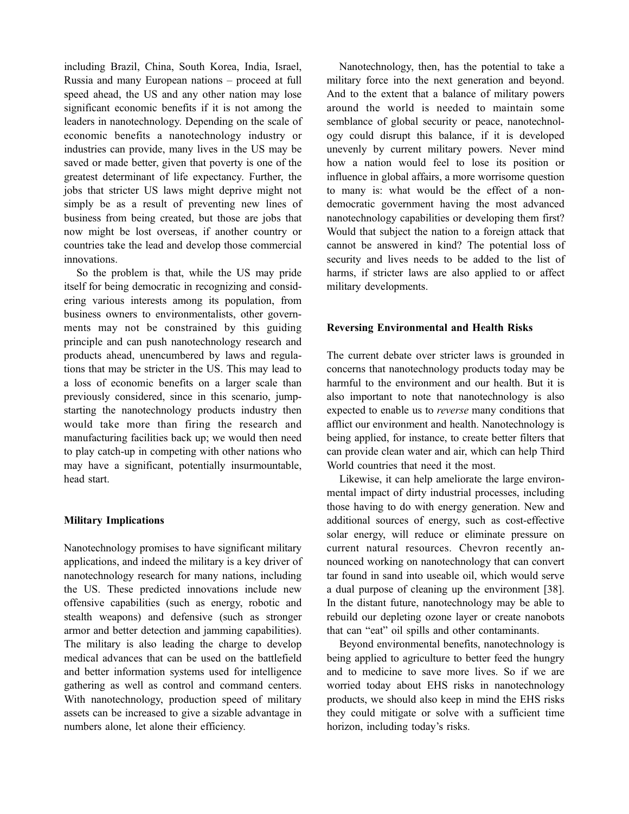including Brazil, China, South Korea, India, Israel, Russia and many European nations – proceed at full speed ahead, the US and any other nation may lose significant economic benefits if it is not among the leaders in nanotechnology. Depending on the scale of economic benefits a nanotechnology industry or industries can provide, many lives in the US may be saved or made better, given that poverty is one of the greatest determinant of life expectancy. Further, the jobs that stricter US laws might deprive might not simply be as a result of preventing new lines of business from being created, but those are jobs that now might be lost overseas, if another country or countries take the lead and develop those commercial innovations.

So the problem is that, while the US may pride itself for being democratic in recognizing and considering various interests among its population, from business owners to environmentalists, other governments may not be constrained by this guiding principle and can push nanotechnology research and products ahead, unencumbered by laws and regulations that may be stricter in the US. This may lead to a loss of economic benefits on a larger scale than previously considered, since in this scenario, jumpstarting the nanotechnology products industry then would take more than firing the research and manufacturing facilities back up; we would then need to play catch-up in competing with other nations who may have a significant, potentially insurmountable, head start.

## Military Implications

Nanotechnology promises to have significant military applications, and indeed the military is a key driver of nanotechnology research for many nations, including the US. These predicted innovations include new offensive capabilities (such as energy, robotic and stealth weapons) and defensive (such as stronger armor and better detection and jamming capabilities). The military is also leading the charge to develop medical advances that can be used on the battlefield and better information systems used for intelligence gathering as well as control and command centers. With nanotechnology, production speed of military assets can be increased to give a sizable advantage in numbers alone, let alone their efficiency.

Nanotechnology, then, has the potential to take a military force into the next generation and beyond. And to the extent that a balance of military powers around the world is needed to maintain some semblance of global security or peace, nanotechnology could disrupt this balance, if it is developed unevenly by current military powers. Never mind how a nation would feel to lose its position or influence in global affairs, a more worrisome question to many is: what would be the effect of a nondemocratic government having the most advanced nanotechnology capabilities or developing them first? Would that subject the nation to a foreign attack that cannot be answered in kind? The potential loss of security and lives needs to be added to the list of harms, if stricter laws are also applied to or affect military developments.

# Reversing Environmental and Health Risks

The current debate over stricter laws is grounded in concerns that nanotechnology products today may be harmful to the environment and our health. But it is also important to note that nanotechnology is also expected to enable us to reverse many conditions that afflict our environment and health. Nanotechnology is being applied, for instance, to create better filters that can provide clean water and air, which can help Third World countries that need it the most.

Likewise, it can help ameliorate the large environmental impact of dirty industrial processes, including those having to do with energy generation. New and additional sources of energy, such as cost-effective solar energy, will reduce or eliminate pressure on current natural resources. Chevron recently announced working on nanotechnology that can convert tar found in sand into useable oil, which would serve a dual purpose of cleaning up the environment [38]. In the distant future, nanotechnology may be able to rebuild our depleting ozone layer or create nanobots that can "eat" oil spills and other contaminants.

Beyond environmental benefits, nanotechnology is being applied to agriculture to better feed the hungry and to medicine to save more lives. So if we are worried today about EHS risks in nanotechnology products, we should also keep in mind the EHS risks they could mitigate or solve with a sufficient time horizon, including today's risks.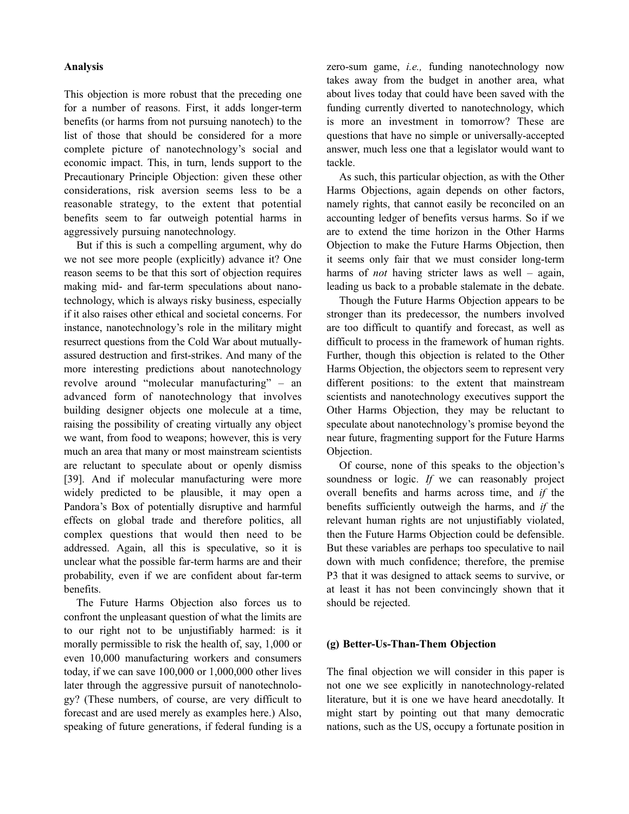## Analysis

This objection is more robust that the preceding one for a number of reasons. First, it adds longer-term benefits (or harms from not pursuing nanotech) to the list of those that should be considered for a more complete picture of nanotechnology's social and economic impact. This, in turn, lends support to the Precautionary Principle Objection: given these other considerations, risk aversion seems less to be a reasonable strategy, to the extent that potential benefits seem to far outweigh potential harms in aggressively pursuing nanotechnology.

But if this is such a compelling argument, why do we not see more people (explicitly) advance it? One reason seems to be that this sort of objection requires making mid- and far-term speculations about nanotechnology, which is always risky business, especially if it also raises other ethical and societal concerns. For instance, nanotechnology's role in the military might resurrect questions from the Cold War about mutuallyassured destruction and first-strikes. And many of the more interesting predictions about nanotechnology revolve around "molecular manufacturing" – an advanced form of nanotechnology that involves building designer objects one molecule at a time, raising the possibility of creating virtually any object we want, from food to weapons; however, this is very much an area that many or most mainstream scientists are reluctant to speculate about or openly dismiss [39]. And if molecular manufacturing were more widely predicted to be plausible, it may open a Pandora's Box of potentially disruptive and harmful effects on global trade and therefore politics, all complex questions that would then need to be addressed. Again, all this is speculative, so it is unclear what the possible far-term harms are and their probability, even if we are confident about far-term benefits.

The Future Harms Objection also forces us to confront the unpleasant question of what the limits are to our right not to be unjustifiably harmed: is it morally permissible to risk the health of, say, 1,000 or even 10,000 manufacturing workers and consumers today, if we can save 100,000 or 1,000,000 other lives later through the aggressive pursuit of nanotechnology? (These numbers, of course, are very difficult to forecast and are used merely as examples here.) Also, speaking of future generations, if federal funding is a

zero-sum game, i.e., funding nanotechnology now takes away from the budget in another area, what about lives today that could have been saved with the funding currently diverted to nanotechnology, which is more an investment in tomorrow? These are questions that have no simple or universally-accepted answer, much less one that a legislator would want to tackle.

As such, this particular objection, as with the Other Harms Objections, again depends on other factors, namely rights, that cannot easily be reconciled on an accounting ledger of benefits versus harms. So if we are to extend the time horizon in the Other Harms Objection to make the Future Harms Objection, then it seems only fair that we must consider long-term harms of *not* having stricter laws as well – again, leading us back to a probable stalemate in the debate.

Though the Future Harms Objection appears to be stronger than its predecessor, the numbers involved are too difficult to quantify and forecast, as well as difficult to process in the framework of human rights. Further, though this objection is related to the Other Harms Objection, the objectors seem to represent very different positions: to the extent that mainstream scientists and nanotechnology executives support the Other Harms Objection, they may be reluctant to speculate about nanotechnology's promise beyond the near future, fragmenting support for the Future Harms Objection.

Of course, none of this speaks to the objection's soundness or logic. If we can reasonably project overall benefits and harms across time, and if the benefits sufficiently outweigh the harms, and if the relevant human rights are not unjustifiably violated, then the Future Harms Objection could be defensible. But these variables are perhaps too speculative to nail down with much confidence; therefore, the premise P3 that it was designed to attack seems to survive, or at least it has not been convincingly shown that it should be rejected.

## (g) Better-Us-Than-Them Objection

The final objection we will consider in this paper is not one we see explicitly in nanotechnology-related literature, but it is one we have heard anecdotally. It might start by pointing out that many democratic nations, such as the US, occupy a fortunate position in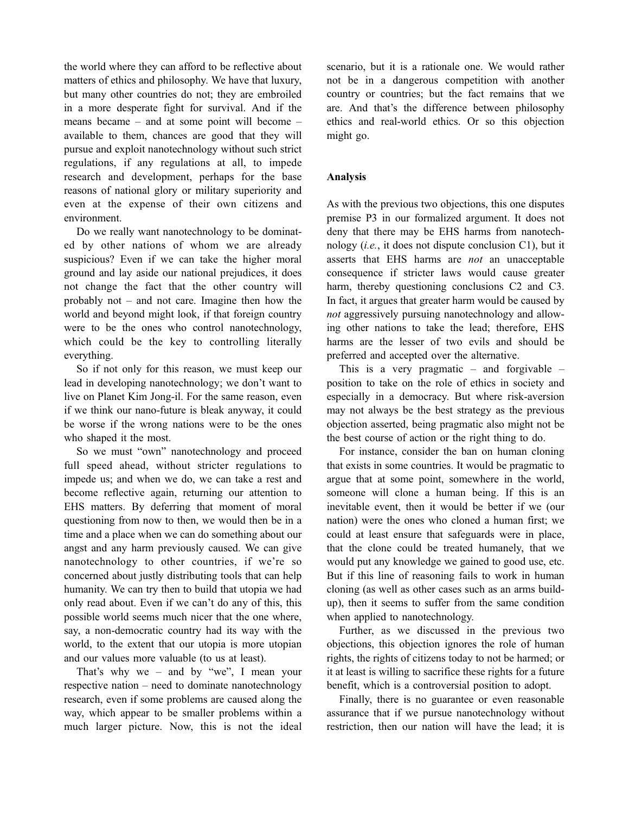the world where they can afford to be reflective about matters of ethics and philosophy. We have that luxury, but many other countries do not; they are embroiled in a more desperate fight for survival. And if the means became – and at some point will become – available to them, chances are good that they will pursue and exploit nanotechnology without such strict regulations, if any regulations at all, to impede research and development, perhaps for the base reasons of national glory or military superiority and even at the expense of their own citizens and environment.

Do we really want nanotechnology to be dominated by other nations of whom we are already suspicious? Even if we can take the higher moral ground and lay aside our national prejudices, it does not change the fact that the other country will probably not – and not care. Imagine then how the world and beyond might look, if that foreign country were to be the ones who control nanotechnology, which could be the key to controlling literally everything.

So if not only for this reason, we must keep our lead in developing nanotechnology; we don't want to live on Planet Kim Jong-il. For the same reason, even if we think our nano-future is bleak anyway, it could be worse if the wrong nations were to be the ones who shaped it the most.

So we must "own" nanotechnology and proceed full speed ahead, without stricter regulations to impede us; and when we do, we can take a rest and become reflective again, returning our attention to EHS matters. By deferring that moment of moral questioning from now to then, we would then be in a time and a place when we can do something about our angst and any harm previously caused. We can give nanotechnology to other countries, if we're so concerned about justly distributing tools that can help humanity. We can try then to build that utopia we had only read about. Even if we can't do any of this, this possible world seems much nicer that the one where, say, a non-democratic country had its way with the world, to the extent that our utopia is more utopian and our values more valuable (to us at least).

That's why we – and by "we", I mean your respective nation – need to dominate nanotechnology research, even if some problems are caused along the way, which appear to be smaller problems within a much larger picture. Now, this is not the ideal

scenario, but it is a rationale one. We would rather not be in a dangerous competition with another country or countries; but the fact remains that we are. And that's the difference between philosophy ethics and real-world ethics. Or so this objection might go.

# Analysis

As with the previous two objections, this one disputes premise P3 in our formalized argument. It does not deny that there may be EHS harms from nanotechnology (*i.e.*, it does not dispute conclusion  $C1$ ), but it asserts that EHS harms are not an unacceptable consequence if stricter laws would cause greater harm, thereby questioning conclusions C2 and C3. In fact, it argues that greater harm would be caused by not aggressively pursuing nanotechnology and allowing other nations to take the lead; therefore, EHS harms are the lesser of two evils and should be preferred and accepted over the alternative.

This is a very pragmatic – and forgivable – position to take on the role of ethics in society and especially in a democracy. But where risk-aversion may not always be the best strategy as the previous objection asserted, being pragmatic also might not be the best course of action or the right thing to do.

For instance, consider the ban on human cloning that exists in some countries. It would be pragmatic to argue that at some point, somewhere in the world, someone will clone a human being. If this is an inevitable event, then it would be better if we (our nation) were the ones who cloned a human first; we could at least ensure that safeguards were in place, that the clone could be treated humanely, that we would put any knowledge we gained to good use, etc. But if this line of reasoning fails to work in human cloning (as well as other cases such as an arms buildup), then it seems to suffer from the same condition when applied to nanotechnology.

Further, as we discussed in the previous two objections, this objection ignores the role of human rights, the rights of citizens today to not be harmed; or it at least is willing to sacrifice these rights for a future benefit, which is a controversial position to adopt.

Finally, there is no guarantee or even reasonable assurance that if we pursue nanotechnology without restriction, then our nation will have the lead; it is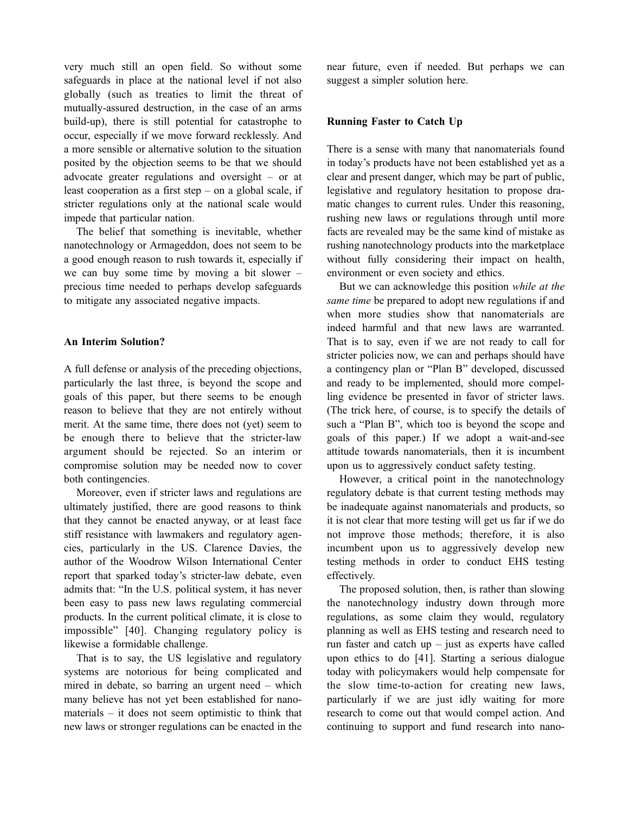very much still an open field. So without some safeguards in place at the national level if not also globally (such as treaties to limit the threat of mutually-assured destruction, in the case of an arms build-up), there is still potential for catastrophe to occur, especially if we move forward recklessly. And a more sensible or alternative solution to the situation posited by the objection seems to be that we should advocate greater regulations and oversight – or at least cooperation as a first step – on a global scale, if stricter regulations only at the national scale would impede that particular nation.

The belief that something is inevitable, whether nanotechnology or Armageddon, does not seem to be a good enough reason to rush towards it, especially if we can buy some time by moving a bit slower – precious time needed to perhaps develop safeguards to mitigate any associated negative impacts.

## An Interim Solution?

A full defense or analysis of the preceding objections, particularly the last three, is beyond the scope and goals of this paper, but there seems to be enough reason to believe that they are not entirely without merit. At the same time, there does not (yet) seem to be enough there to believe that the stricter-law argument should be rejected. So an interim or compromise solution may be needed now to cover both contingencies.

Moreover, even if stricter laws and regulations are ultimately justified, there are good reasons to think that they cannot be enacted anyway, or at least face stiff resistance with lawmakers and regulatory agencies, particularly in the US. Clarence Davies, the author of the Woodrow Wilson International Center report that sparked today's stricter-law debate, even admits that: "In the U.S. political system, it has never been easy to pass new laws regulating commercial products. In the current political climate, it is close to impossible" [40]. Changing regulatory policy is likewise a formidable challenge.

That is to say, the US legislative and regulatory systems are notorious for being complicated and mired in debate, so barring an urgent need – which many believe has not yet been established for nanomaterials – it does not seem optimistic to think that new laws or stronger regulations can be enacted in the near future, even if needed. But perhaps we can suggest a simpler solution here.

#### Running Faster to Catch Up

There is a sense with many that nanomaterials found in today's products have not been established yet as a clear and present danger, which may be part of public, legislative and regulatory hesitation to propose dramatic changes to current rules. Under this reasoning, rushing new laws or regulations through until more facts are revealed may be the same kind of mistake as rushing nanotechnology products into the marketplace without fully considering their impact on health, environment or even society and ethics.

But we can acknowledge this position while at the same time be prepared to adopt new regulations if and when more studies show that nanomaterials are indeed harmful and that new laws are warranted. That is to say, even if we are not ready to call for stricter policies now, we can and perhaps should have a contingency plan or "Plan B" developed, discussed and ready to be implemented, should more compelling evidence be presented in favor of stricter laws. (The trick here, of course, is to specify the details of such a "Plan B", which too is beyond the scope and goals of this paper.) If we adopt a wait-and-see attitude towards nanomaterials, then it is incumbent upon us to aggressively conduct safety testing.

However, a critical point in the nanotechnology regulatory debate is that current testing methods may be inadequate against nanomaterials and products, so it is not clear that more testing will get us far if we do not improve those methods; therefore, it is also incumbent upon us to aggressively develop new testing methods in order to conduct EHS testing effectively.

The proposed solution, then, is rather than slowing the nanotechnology industry down through more regulations, as some claim they would, regulatory planning as well as EHS testing and research need to run faster and catch up  $-$  just as experts have called upon ethics to do [41]. Starting a serious dialogue today with policymakers would help compensate for the slow time-to-action for creating new laws, particularly if we are just idly waiting for more research to come out that would compel action. And continuing to support and fund research into nano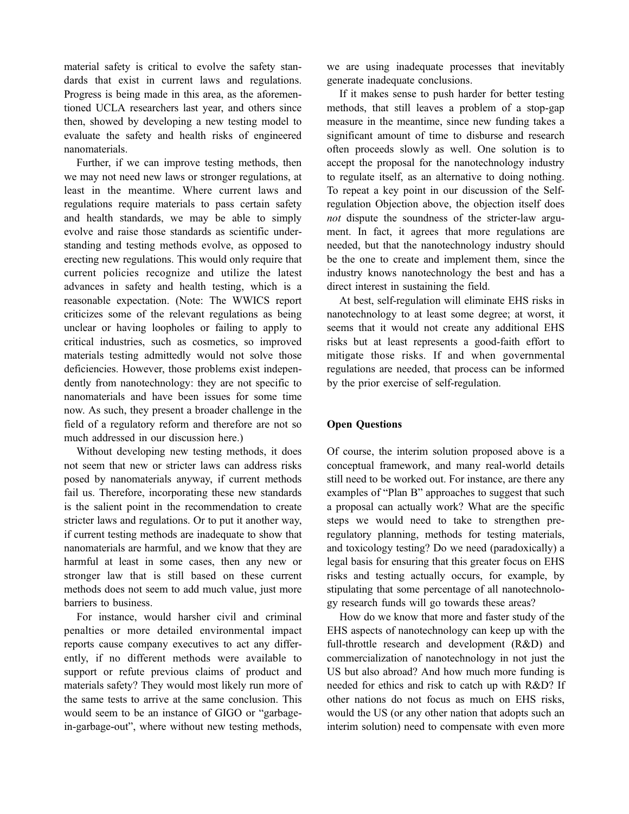material safety is critical to evolve the safety standards that exist in current laws and regulations. Progress is being made in this area, as the aforementioned UCLA researchers last year, and others since then, showed by developing a new testing model to evaluate the safety and health risks of engineered nanomaterials.

Further, if we can improve testing methods, then we may not need new laws or stronger regulations, at least in the meantime. Where current laws and regulations require materials to pass certain safety and health standards, we may be able to simply evolve and raise those standards as scientific understanding and testing methods evolve, as opposed to erecting new regulations. This would only require that current policies recognize and utilize the latest advances in safety and health testing, which is a reasonable expectation. (Note: The WWICS report criticizes some of the relevant regulations as being unclear or having loopholes or failing to apply to critical industries, such as cosmetics, so improved materials testing admittedly would not solve those deficiencies. However, those problems exist independently from nanotechnology: they are not specific to nanomaterials and have been issues for some time now. As such, they present a broader challenge in the field of a regulatory reform and therefore are not so much addressed in our discussion here.)

Without developing new testing methods, it does not seem that new or stricter laws can address risks posed by nanomaterials anyway, if current methods fail us. Therefore, incorporating these new standards is the salient point in the recommendation to create stricter laws and regulations. Or to put it another way, if current testing methods are inadequate to show that nanomaterials are harmful, and we know that they are harmful at least in some cases, then any new or stronger law that is still based on these current methods does not seem to add much value, just more barriers to business.

For instance, would harsher civil and criminal penalties or more detailed environmental impact reports cause company executives to act any differently, if no different methods were available to support or refute previous claims of product and materials safety? They would most likely run more of the same tests to arrive at the same conclusion. This would seem to be an instance of GIGO or "garbagein-garbage-out", where without new testing methods,

we are using inadequate processes that inevitably generate inadequate conclusions.

If it makes sense to push harder for better testing methods, that still leaves a problem of a stop-gap measure in the meantime, since new funding takes a significant amount of time to disburse and research often proceeds slowly as well. One solution is to accept the proposal for the nanotechnology industry to regulate itself, as an alternative to doing nothing. To repeat a key point in our discussion of the Selfregulation Objection above, the objection itself does not dispute the soundness of the stricter-law argument. In fact, it agrees that more regulations are needed, but that the nanotechnology industry should be the one to create and implement them, since the industry knows nanotechnology the best and has a direct interest in sustaining the field.

At best, self-regulation will eliminate EHS risks in nanotechnology to at least some degree; at worst, it seems that it would not create any additional EHS risks but at least represents a good-faith effort to mitigate those risks. If and when governmental regulations are needed, that process can be informed by the prior exercise of self-regulation.

# Open Questions

Of course, the interim solution proposed above is a conceptual framework, and many real-world details still need to be worked out. For instance, are there any examples of "Plan B" approaches to suggest that such a proposal can actually work? What are the specific steps we would need to take to strengthen preregulatory planning, methods for testing materials, and toxicology testing? Do we need (paradoxically) a legal basis for ensuring that this greater focus on EHS risks and testing actually occurs, for example, by stipulating that some percentage of all nanotechnology research funds will go towards these areas?

How do we know that more and faster study of the EHS aspects of nanotechnology can keep up with the full-throttle research and development (R&D) and commercialization of nanotechnology in not just the US but also abroad? And how much more funding is needed for ethics and risk to catch up with R&D? If other nations do not focus as much on EHS risks, would the US (or any other nation that adopts such an interim solution) need to compensate with even more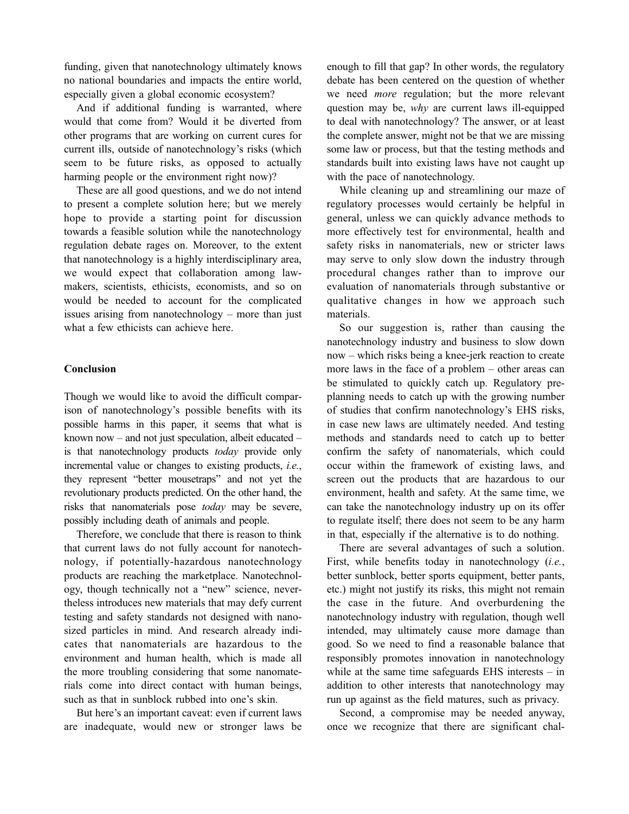funding, given that nanotechnology ultimately knows no national boundaries and impacts the entire world, especially given a global economic ecosystem?

And if additional funding is warranted, where would that come from? Would it be diverted from other programs that are working on current cures for current ills, outside of nanotechnology's risks (which seem to be future risks, as opposed to actually harming people or the environment right now)?

These are all good questions, and we do not intend to present a complete solution here; but we merely hope to provide a starting point for discussion towards a feasible solution while the nanotechnology regulation debate rages on. Moreover, to the extent that nanotechnology is a highly interdisciplinary area, we would expect that collaboration among lawmakers, scientists, ethicists, economists, and so on would be needed to account for the complicated issues arising from nanotechnology – more than just what a few ethicists can achieve here.

## Conclusion

Though we would like to avoid the difficult comparison of nanotechnology's possible benefits with its possible harms in this paper, it seems that what is known now – and not just speculation, albeit educated – is that nanotechnology products today provide only incremental value or changes to existing products, i.e., they represent "better mousetraps" and not yet the revolutionary products predicted. On the other hand, the risks that nanomaterials pose today may be severe, possibly including death of animals and people.

Therefore, we conclude that there is reason to think that current laws do not fully account for nanotechnology, if potentially-hazardous nanotechnology products are reaching the marketplace. Nanotechnology, though technically not a "new" science, nevertheless introduces new materials that may defy current testing and safety standards not designed with nanosized particles in mind. And research already indicates that nanomaterials are hazardous to the environment and human health, which is made all the more troubling considering that some nanomaterials come into direct contact with human beings, such as that in sunblock rubbed into one's skin.

But here's an important caveat: even if current laws are inadequate, would new or stronger laws be enough to fill that gap? In other words, the regulatory debate has been centered on the question of whether we need more regulation; but the more relevant question may be, why are current laws ill-equipped to deal with nanotechnology? The answer, or at least the complete answer, might not be that we are missing some law or process, but that the testing methods and standards built into existing laws have not caught up with the pace of nanotechnology.

While cleaning up and streamlining our maze of regulatory processes would certainly be helpful in general, unless we can quickly advance methods to more effectively test for environmental, health and safety risks in nanomaterials, new or stricter laws may serve to only slow down the industry through procedural changes rather than to improve our evaluation of nanomaterials through substantive or qualitative changes in how we approach such materials.

So our suggestion is, rather than causing the nanotechnology industry and business to slow down now – which risks being a knee-jerk reaction to create more laws in the face of a problem – other areas can be stimulated to quickly catch up. Regulatory preplanning needs to catch up with the growing number of studies that confirm nanotechnology's EHS risks, in case new laws are ultimately needed. And testing methods and standards need to catch up to better confirm the safety of nanomaterials, which could occur within the framework of existing laws, and screen out the products that are hazardous to our environment, health and safety. At the same time, we can take the nanotechnology industry up on its offer to regulate itself; there does not seem to be any harm in that, especially if the alternative is to do nothing.

There are several advantages of such a solution. First, while benefits today in nanotechnology *(i.e.,* better sunblock, better sports equipment, better pants, etc.) might not justify its risks, this might not remain the case in the future. And overburdening the nanotechnology industry with regulation, though well intended, may ultimately cause more damage than good. So we need to find a reasonable balance that responsibly promotes innovation in nanotechnology while at the same time safeguards EHS interests – in addition to other interests that nanotechnology may run up against as the field matures, such as privacy.

Second, a compromise may be needed anyway, once we recognize that there are significant chal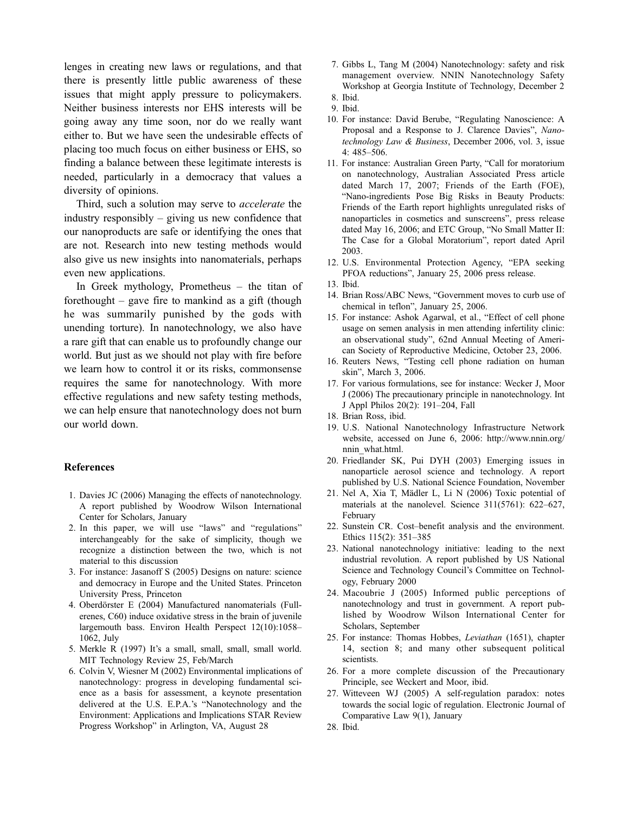lenges in creating new laws or regulations, and that there is presently little public awareness of these issues that might apply pressure to policymakers. Neither business interests nor EHS interests will be going away any time soon, nor do we really want either to. But we have seen the undesirable effects of placing too much focus on either business or EHS, so finding a balance between these legitimate interests is needed, particularly in a democracy that values a diversity of opinions.

Third, such a solution may serve to accelerate the industry responsibly – giving us new confidence that our nanoproducts are safe or identifying the ones that are not. Research into new testing methods would also give us new insights into nanomaterials, perhaps even new applications.

In Greek mythology, Prometheus – the titan of forethought – gave fire to mankind as a gift (though he was summarily punished by the gods with unending torture). In nanotechnology, we also have a rare gift that can enable us to profoundly change our world. But just as we should not play with fire before we learn how to control it or its risks, commonsense requires the same for nanotechnology. With more effective regulations and new safety testing methods, we can help ensure that nanotechnology does not burn our world down.

#### References

- 1. Davies JC (2006) Managing the effects of nanotechnology. A report published by Woodrow Wilson International Center for Scholars, January
- 2. In this paper, we will use "laws" and "regulations" interchangeably for the sake of simplicity, though we recognize a distinction between the two, which is not material to this discussion
- 3. For instance: Jasanoff S (2005) Designs on nature: science and democracy in Europe and the United States. Princeton University Press, Princeton
- 4. Oberdörster E (2004) Manufactured nanomaterials (Fullerenes, C60) induce oxidative stress in the brain of juvenile largemouth bass. Environ Health Perspect 12(10):1058– 1062, July
- 5. Merkle R (1997) It's a small, small, small, small world. MIT Technology Review 25, Feb/March
- 6. Colvin V, Wiesner M (2002) Environmental implications of nanotechnology: progress in developing fundamental science as a basis for assessment, a keynote presentation delivered at the U.S. E.P.A.'s "Nanotechnology and the Environment: Applications and Implications STAR Review Progress Workshop" in Arlington, VA, August 28
- 7. Gibbs L, Tang M (2004) Nanotechnology: safety and risk management overview. NNIN Nanotechnology Safety Workshop at Georgia Institute of Technology, December 2 8. Ibid.
- 9. Ibid.
- 10. For instance: David Berube, "Regulating Nanoscience: A Proposal and a Response to J. Clarence Davies", Nanotechnology Law & Business, December 2006, vol. 3, issue 4: 485–506.
- 11. For instance: Australian Green Party, "Call for moratorium on nanotechnology, Australian Associated Press article dated March 17, 2007; Friends of the Earth (FOE), "Nano-ingredients Pose Big Risks in Beauty Products: Friends of the Earth report highlights unregulated risks of nanoparticles in cosmetics and sunscreens", press release dated May 16, 2006; and ETC Group, "No Small Matter II: The Case for a Global Moratorium", report dated April 2003.
- 12. U.S. Environmental Protection Agency, "EPA seeking PFOA reductions", January 25, 2006 press release.
- 13. Ibid.
- 14. Brian Ross/ABC News, "Government moves to curb use of chemical in teflon", January 25, 2006.
- 15. For instance: Ashok Agarwal, et al., "Effect of cell phone usage on semen analysis in men attending infertility clinic: an observational study", 62nd Annual Meeting of American Society of Reproductive Medicine, October 23, 2006.
- 16. Reuters News, "Testing cell phone radiation on human skin", March 3, 2006.
- 17. For various formulations, see for instance: Wecker J, Moor J (2006) The precautionary principle in nanotechnology. Int J Appl Philos 20(2): 191–204, Fall
- 18. Brian Ross, ibid.
- 19. U.S. National Nanotechnology Infrastructure Network website, accessed on June 6, 2006: http://www.nnin.org/ nnin\_what.html.
- 20. Friedlander SK, Pui DYH (2003) Emerging issues in nanoparticle aerosol science and technology. A report published by U.S. National Science Foundation, November
- 21. Nel A, Xia T, Mädler L, Li N (2006) Toxic potential of materials at the nanolevel. Science 311(5761): 622–627, February
- 22. Sunstein CR. Cost–benefit analysis and the environment. Ethics 115(2): 351–385
- 23. National nanotechnology initiative: leading to the next industrial revolution. A report published by US National Science and Technology Council's Committee on Technology, February 2000
- 24. Macoubrie J (2005) Informed public perceptions of nanotechnology and trust in government. A report published by Woodrow Wilson International Center for Scholars, September
- 25. For instance: Thomas Hobbes, *Leviathan* (1651), chapter 14, section 8; and many other subsequent political scientists.
- 26. For a more complete discussion of the Precautionary Principle, see Weckert and Moor, ibid.
- 27. Witteveen WJ (2005) A self-regulation paradox: notes towards the social logic of regulation. Electronic Journal of Comparative Law 9(1), January
- 28. Ibid.